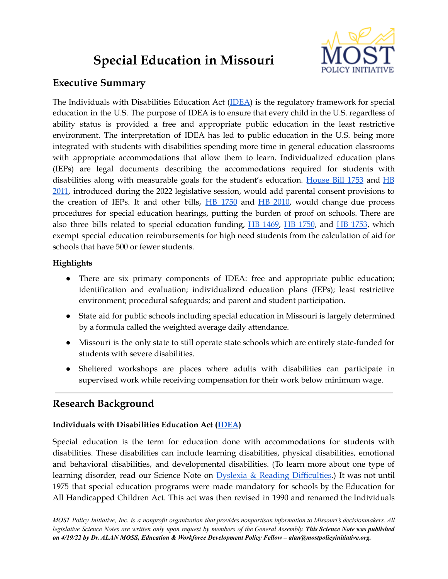# **Special Education in Missouri**



# **Executive Summary**

The Individuals with Disabilities Education Act [\(IDEA\)](https://sites.ed.gov/idea/) is the regulatory framework for special education in the U.S. The purpose of IDEA is to ensure that every child in the U.S. regardless of ability status is provided a free and appropriate public education in the least restrictive environment. The interpretation of IDEA has led to public education in the U.S. being more integrated with students with disabilities spending more time in general education classrooms with appropriate accommodations that allow them to learn. Individualized education plans (IEPs) are legal documents describing the accommodations required for students with disabilities along with measurable goals for the student's education. [House](https://www.house.mo.gov/bill.aspx?bill=HB1753&year=2022&code=R) Bill 1753 and [HB](https://www.house.mo.gov/Bill.aspx?bill=HB2010&year=2022&code=R) [2011](https://www.house.mo.gov/Bill.aspx?bill=HB2010&year=2022&code=R), introduced during the 2022 legislative session, would add parental consent provisions to the creation of IEPs. It and other bills, HB [1750](https://www.house.mo.gov/bill.aspx?bill=HB1750&year=2022&code=R) and HB [2010,](https://www.house.mo.gov/Bill.aspx?bill=HB2010&year=2022&code=R) would change due process procedures for special education hearings, putting the burden of proof on schools. There are also three bills related to special education funding,  $\overline{HB}$  [1469](https://www.house.mo.gov/Bill.aspx?bill=HB1469&year=2022&code=R),  $\overline{HB}$  [1750](https://www.house.mo.gov/Bill.aspx?bill=HB1750&year=2022&code=R), and  $\overline{HB}$  [1753](https://www.house.mo.gov/Bill.aspx?bill=HB1753&year=2022&code=R), which exempt special education reimbursements for high need students from the calculation of aid for schools that have 500 or fewer students.

# **Highlights**

- There are six primary components of IDEA: free and appropriate public education; identification and evaluation; individualized education plans (IEPs); least restrictive environment; procedural safeguards; and parent and student participation.
- State aid for public schools including special education in Missouri is largely determined by a formula called the weighted average daily attendance.
- Missouri is the only state to still operate state schools which are entirely state-funded for students with severe disabilities.
- Sheltered workshops are places where adults with disabilities can participate in supervised work while receiving compensation for their work below minimum wage.

# **Research Background**

# **Individuals with Disabilities Education Act ([IDEA](https://sites.ed.gov/idea/))**

Special education is the term for education done with accommodations for students with disabilities. These disabilities can include learning disabilities, physical disabilities, emotional and behavioral disabilities, and developmental disabilities. (To learn more about one type of learning disorder, read our Science Note on Dyslexia & Reading [Difficulties](https://mostpolicyinitiative.org/science-note/dyslexia-reading-difficulties/).) It was not until 1975 that special education programs were made mandatory for schools by the Education for All Handicapped Children Act. This act was then revised in 1990 and renamed the Individuals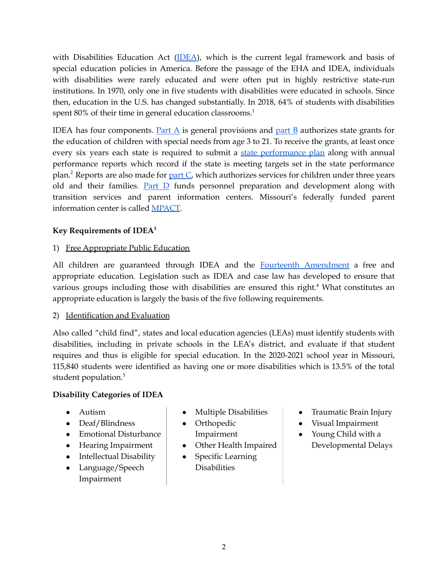with Disabilities Education Act ([IDEA](https://sites.ed.gov/idea/)), which is the current legal framework and basis of special education policies in America. Before the passage of the EHA and IDEA, individuals with disabilities were rarely educated and were often put in highly restrictive state-run institutions. In 1970, only one in five students with disabilities were educated in schools. Since then, education in the U.S. has changed substantially. In 2018, 64% of students with disabilities spent 80% of their time in general education classrooms.<sup>1</sup>

IDEA has four components. [Part](https://sites.ed.gov/idea/statute-chapter-33/subchapter-i)  $\overline{A}$  is general provisions and [part](https://sites.ed.gov/idea/statute-chapter-33/subchapter-ii)  $\overline{B}$  authorizes state grants for the education of children with special needs from age 3 to 21. To receive the grants, at least once every six years each state is required to submit a state [performance](https://dese.mo.gov/special-education/state-performance-plan) plan along with annual performance reports which record if the state is meeting targets set in the state performance plan.<sup>2</sup> Reports are also made for *[part](https://sites.ed.gov/idea/statute-chapter-33/subchapter-iii) C*, which authorizes services for children under three years old and their families.  $Part D$  $Part D$  funds personnel preparation and development along with transition services and parent information centers. Missouri's federally funded parent information center is called [MPACT](https://www.missouriparentsact.org/).

## **Key Requirements of IDEA 3**

## 1) Free Appropriate Public Education

All children are guaranteed through IDEA and the **Fourteenth [Amendment](https://constitution.congress.gov/browse/amendment-14/)** a free and appropriate education. Legislation such as IDEA and case law has developed to ensure that various groups including those with disabilities are ensured this right.<sup>4</sup> What constitutes an appropriate education is largely the basis of the five following requirements.

#### 2) Identification and Evaluation

Also called "child find", states and local education agencies (LEAs) must identify students with disabilities, including in private schools in the LEA's district, and evaluate if that student requires and thus is eligible for special education. In the 2020-2021 school year in Missouri, 115,840 students were identified as having one or more disabilities which is 13.5% of the total student population. 5

#### **Disability Categories of IDEA**

- Autism
- Deaf/Blindness
- Emotional Disturbance
- Hearing Impairment
- Intellectual Disability
- Language/Speech Impairment
- **Multiple Disabilities**
- Orthopedic Impairment
- Other Health Impaired
- **Specific Learning** Disabilities
- Traumatic Brain Injury
- Visual Impairment
- Young Child with a Developmental Delays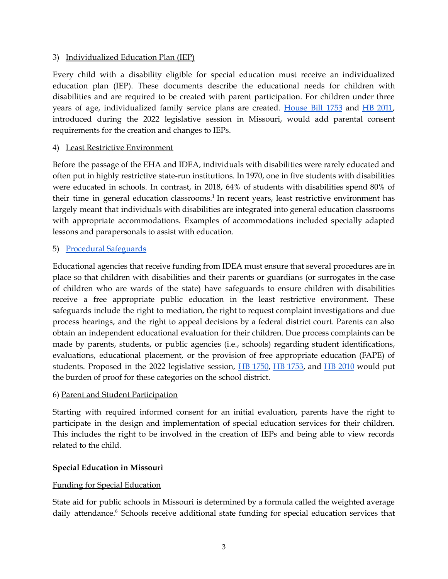#### 3) Individualized Education Plan (IEP)

Every child with a disability eligible for special education must receive an individualized education plan (IEP). These documents describe the educational needs for children with disabilities and are required to be created with parent participation. For children under three years of age, individualized family service plans are created. [House](https://www.house.mo.gov/bill.aspx?bill=HB1753&year=2022&code=R) Bill 1753 and HB [2011,](https://www.house.mo.gov/Bill.aspx?bill=HB2010&year=2022&code=R) introduced during the 2022 legislative session in Missouri, would add parental consent requirements for the creation and changes to IEPs.

#### 4) Least Restrictive Environment

Before the passage of the EHA and IDEA, individuals with disabilities were rarely educated and often put in highly restrictive state-run institutions. In 1970, one in five students with disabilities were educated in schools. In contrast, in 2018, 64% of students with disabilities spend 80% of their time in general education classrooms.<sup>1</sup> In recent years, least restrictive environment has largely meant that individuals with disabilities are integrated into general education classrooms with appropriate accommodations. Examples of accommodations included specially adapted lessons and parapersonals to assist with education.

#### 5) Procedural [Safeguards](https://sites.ed.gov/idea/statute-chapter-33/subchapter-i)

Educational agencies that receive funding from IDEA must ensure that several procedures are in place so that children with disabilities and their parents or guardians (or surrogates in the case of children who are wards of the state) have safeguards to ensure children with disabilities receive a free appropriate public education in the least restrictive environment. These safeguards include the right to mediation, the right to request complaint investigations and due process hearings, and the right to appeal decisions by a federal district court. Parents can also obtain an independent educational evaluation for their children. Due process complaints can be made by parents, students, or public agencies (i.e., schools) regarding student identifications, evaluations, educational placement, or the provision of free appropriate education (FAPE) of students. Proposed in the 2022 legislative session, HB [1750](https://www.house.mo.gov/bill.aspx?bill=HB1750&year=2022&code=R), HB [1753,](https://www.house.mo.gov/bill.aspx?bill=HB1753&year=2022&code=R) and HB [2010](https://www.house.mo.gov/Bill.aspx?bill=HB2010&year=2022&code=R) would put the burden of proof for these categories on the school district.

#### 6) Parent and Student Participation

Starting with required informed consent for an initial evaluation, parents have the right to participate in the design and implementation of special education services for their children. This includes the right to be involved in the creation of IEPs and being able to view records related to the child.

#### **Special Education in Missouri**

#### Funding for Special Education

State aid for public schools in Missouri is determined by a formula called the weighted average daily attendance.<sup>6</sup> Schools receive additional state funding for special education services that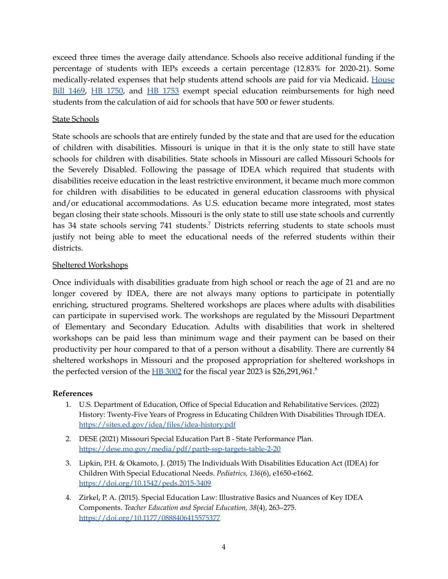exceed three times the average daily attendance. Schools also receive additional funding if the percentage of students with IEPs exceeds a certain percentage (12.83% for 2020-21). Some medically-related expenses that help students attend schools are paid for via Medicaid. [House](https://www.house.mo.gov/Bill.aspx?bill=HB1469&year=2022&code=R) Bill [1469](https://www.house.mo.gov/Bill.aspx?bill=HB1469&year=2022&code=R), HB [1750](https://www.house.mo.gov/Bill.aspx?bill=HB1750&year=2022&code=R), and HB [1753](https://www.house.mo.gov/Bill.aspx?bill=HB1753&year=2022&code=R) exempt special education reimbursements for high need students from the calculation of aid for schools that have 500 or fewer students.

#### State Schools

State schools are schools that are entirely funded by the state and that are used for the education of children with disabilities. Missouri is unique in that it is the only state to still have state schools for children with disabilities. State schools in Missouri are called Missouri Schools for the Severely Disabled. Following the passage of IDEA which required that students with disabilities receive education in the least restrictive environment, it became much more common for children with disabilities to be educated in general education classrooms with physical and/or educational accommodations. As U.S. education became more integrated, most states began closing their state schools. Missouri is the only state to still use state schools and currently has 34 state schools serving 741 students.<sup>7</sup> Districts referring students to state schools must justify not being able to meet the educational needs of the referred students within their districts.

#### Sheltered Workshops

Once individuals with disabilities graduate from high school or reach the age of 21 and are no longer covered by IDEA, there are not always many options to participate in potentially enriching, structured programs. Sheltered workshops are places where adults with disabilities can participate in supervised work. The workshops are regulated by the Missouri Department of Elementary and Secondary Education. Adults with disabilities that work in sheltered workshops can be paid less than minimum wage and their payment can be based on their productivity per hour compared to that of a person without a disability. There are currently 84 sheltered workshops in Missouri and the proposed appropriation for sheltered workshops in the perfected version of the  $H\rightarrow B3002$  $H\rightarrow B3002$  for the fiscal year 2023 is \$26,291,961.<sup>8</sup>

#### **References**

- 1. U.S. Department of Education, Office of Special Education and Rehabilitative Services. (2022) History: Twenty-Five Years of Progress in Educating Children With Disabilities Through IDEA. <https://sites.ed.gov/idea/files/idea-history.pdf>
- 2. DESE (2021) Missouri Special Education Part B State Performance Plan. <https://dese.mo.gov/media/pdf/partb-ssp-targets-table-2-20>
- 3. Lipkin, P.H. & Okamoto, J. (2015) The Individuals With Disabilities Education Act (IDEA) for Children With Special Educational Needs. *Pediatrics, 136*(6), e1650-e1662. <https://doi.org/10.1542/peds.2015-3409>
- 4. Zirkel, P. A. (2015). Special Education Law: Illustrative Basics and Nuances of Key IDEA Components. *Teacher Education and Special Education, 38*(4), 263–275. <https://doi.org/10.1177/0888406415575377>